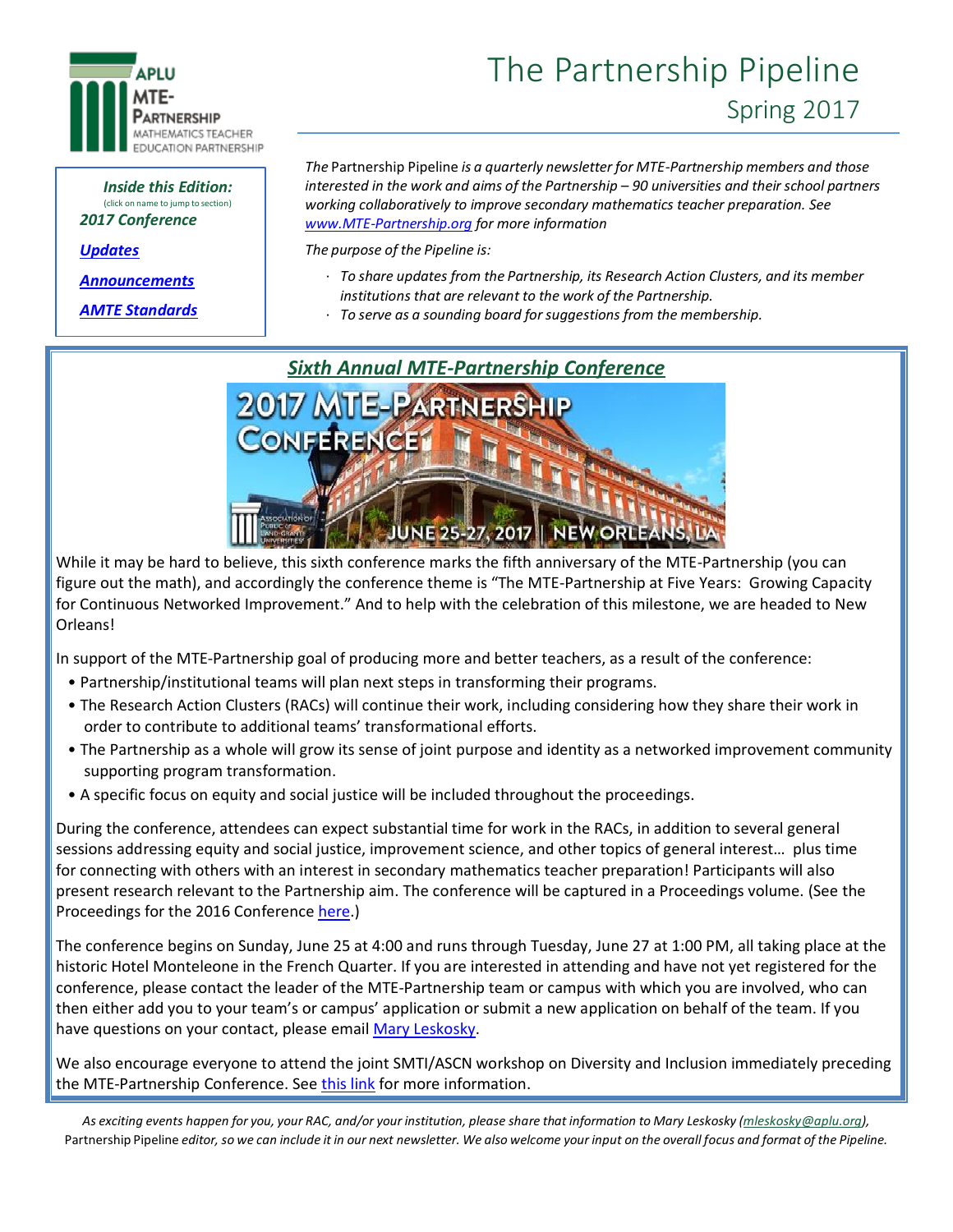

#### *Inside this Edition:* (click on name to jump to section) *2017 Conference*

*[Updates](#page-1-0)*

*[Announcements](#page-2-0)*

*[AMTE Standards](#page-3-0)*

# The Partnership Pipeline Spring 2017

*The* Partnership Pipeline *is a quarterly newsletter for MTE-Partnership members and those interested in the work and aims of the Partnership – 90 universities and their school partners working collaboratively to improve secondary mathematics teacher preparation. See [www.MTE-Partnership.org](http://www.mte-partnership.org/) for more information* 

*The purpose of the Pipeline is:*

- · *To share updates from the Partnership, its Research Action Clusters, and its member institutions that are relevant to the work of the Partnership.*
- · *To serve as a sounding board forsuggestions from the membership.*



While it may be hard to believe, this sixth conference marks the fifth anniversary of the MTE-Partnership (you can figure out the math), and accordingly the conference theme is "The MTE-Partnership at Five Years: Growing Capacity for Continuous Networked Improvement." And to help with the celebration of this milestone, we are headed to New Orleans!

In support of the MTE-Partnership goal of producing more and better teachers, as a result of the conference:

- Partnership/institutional teams will plan next steps in transforming their programs.
- The Research Action Clusters (RACs) will continue their work, including considering how they share their work in order to contribute to additional teams' transformational efforts.
- The Partnership as a whole will grow its sense of joint purpose and identity as a networked improvement community supporting program transformation.
- A specific focus on equity and social justice will be included throughout the proceedings.

During the conference, attendees can expect substantial time for work in the RACs, in addition to several general sessions addressing equity and social justice, improvement science, and other topics of general interest… plus time for connecting with others with an interest in secondary mathematics teacher preparation! Participants will also present research relevant to the Partnership aim. The conference will be captured in a Proceedings volume. (See the Proceedings for the 2016 Conferenc[e here.](http://www.aplu.org/projects-and-initiatives/stem-education/mathematics-teacher-education-partnership/mtep-conferences-meetings/mtep5.html))

The conference begins on Sunday, June 25 at 4:00 and runs through Tuesday, June 27 at 1:00 PM, all taking place at the historic Hotel Monteleone in the French Quarter. If you are interested in attending and have not yet registered for the conference, please contact the leader of the MTE-Partnership team or campus with which you are involved, who can then either add you to your team's or campus' application or submit a new application on behalf of the team. If you have questions on your contact, please email [Mary Leskosky.](mailto:mleskosky@aplu.org)

We also encourage everyone to attend the joint SMTI/ASCN workshop on Diversity and Inclusion immediately preceding the MTE-Partnership Conference. Se[e this link](http://ascnhighered.org/ASCN/posts/smti_ascn.html) for more information.

As exciting events happen for you, your RAC, and/or your institution, please share that information to Mary Leskosky [\(mleskosky@aplu.org\)](mailto:mleskosky@aplu.org), Partnership Pipeline editor, so we can include it in our next newsletter. We also welcome your input on the overall focus and format of the Pipeline.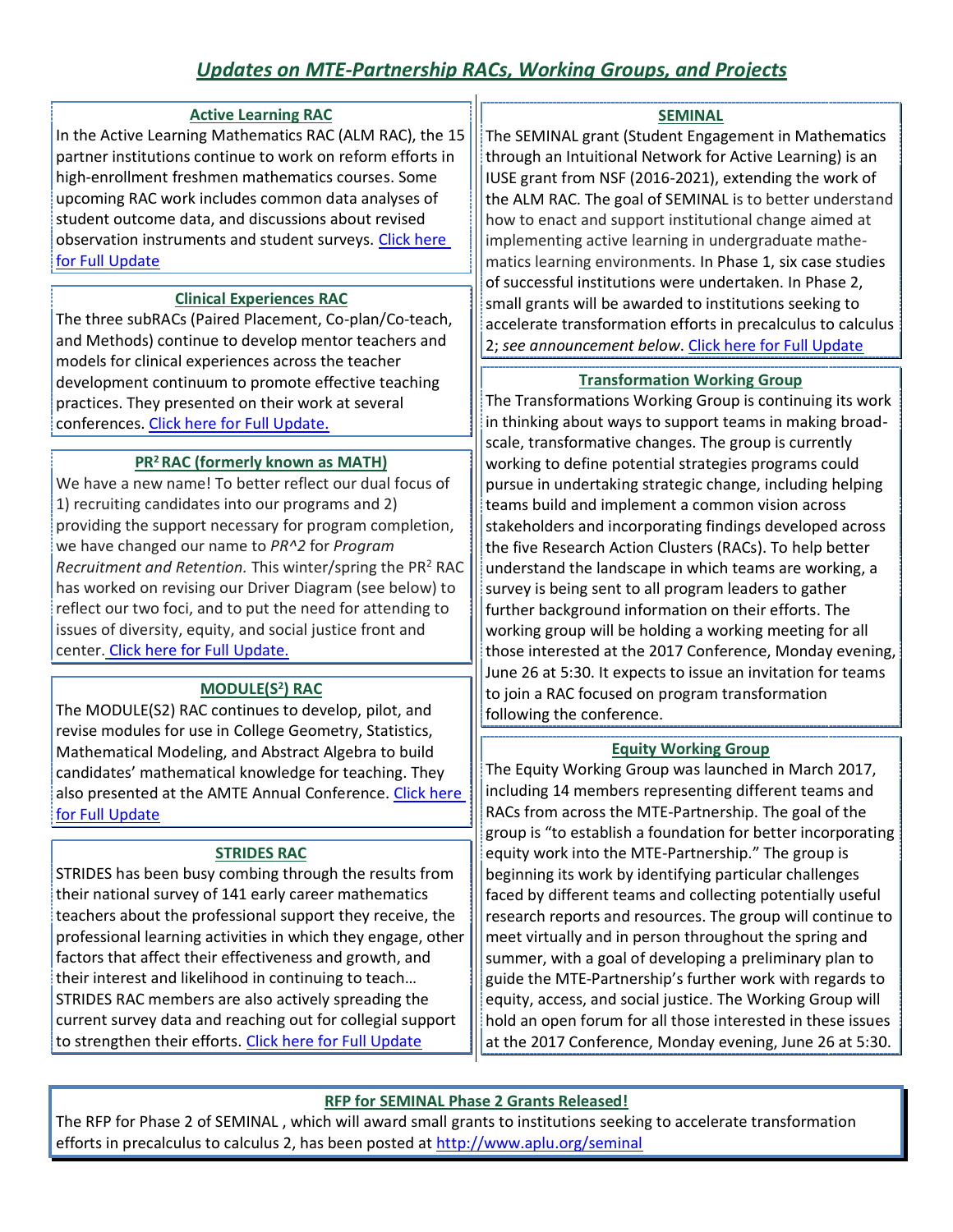### *Updates on MTE-Partnership RACs, Working Groups, and Projects*

### **Active Learning RAC**

<span id="page-1-0"></span>In the Active Learning Mathematics RAC (ALM RAC), the 15 partner institutions continue to work on reform efforts in high-enrollment freshmen mathematics courses. Some upcoming RAC work includes common data analyses of student outcome data, and discussions about revised observation instruments and student surveys. Click [here](#page-4-0)  [for Full Update](#page-4-0)

### **Clinical Experiences RAC**

The three subRACs (Paired Placement, Co-plan/Co-teach, and Methods) continue to develop mentor teachers and models for clinical experiences across the teacher development continuum to promote effective teaching practices. They presented on their work at several conferences. [Click here for Full Update.](#page-4-1)

### **PR<sup>2</sup>RAC (formerly known as MATH)**

<span id="page-1-1"></span>We have a new name! To better reflect our dual focus of 1) recruiting candidates into our programs and 2) providing the support necessary for program completion, we have changed our name to *PR^2* for *Program Recruitment and Retention.* This winter/spring the PR<sup>2</sup> RAC has worked on revising our Driver Diagram (see below) to reflect our two foci, and to put the need for attending to issues of diversity, equity, and social justice front and center. [Click here for Full Update.](#page-1-1)

### **MODULE(S<sup>2</sup> ) RAC**

The MODULE(S2) RAC continues to develop, pilot, and revise modules for use in College Geometry, Statistics, Mathematical Modeling, and Abstract Algebra to build candidates' mathematical knowledge for teaching. They also presented at the AMTE Annual Conference. Click here [for Full Update](#page-6-0)

### **STRIDES RAC**

STRIDES has been busy combing through the results from their national survey of 141 early career mathematics teachers about the professional support they receive, the professional learning activities in which they engage, other factors that affect their effectiveness and growth, and their interest and likelihood in continuing to teach… STRIDES RAC members are also actively spreading the current survey data and reaching out for collegial support to strengthen their efforts. [Click here for Full Update](#page-6-1)

### **SEMINAL**

The SEMINAL grant (Student Engagement in Mathematics through an Intuitional Network for Active Learning) is an IUSE grant from NSF (2016-2021), extending the work of the ALM RAC. The goal of SEMINAL is to better understand how to enact and support institutional change aimed at implementing active learning in undergraduate mathematics learning environments. In Phase 1, six case studies of successful institutions were undertaken. In Phase 2, small grants will be awarded to institutions seeking to accelerate transformation efforts in precalculus to calculus 2; *see announcement below*. [Click here for Full Update](#page-7-0)

### **Transformation Working Group**

The Transformations Working Group is continuing its work in thinking about ways to support teams in making broadscale, transformative changes. The group is currently working to define potential strategies programs could pursue in undertaking strategic change, including helping teams build and implement a common vision across stakeholders and incorporating findings developed across the five Research Action Clusters (RACs). To help better understand the landscape in which teams are working, a survey is being sent to all program leaders to gather further background information on their efforts. The working group will be holding a working meeting for all those interested at the 2017 Conference, Monday evening, June 26 at 5:30. It expects to issue an invitation for teams to join a RAC focused on program transformation following the conference.

### **Equity Working Group**

The Equity Working Group was launched in March 2017, including 14 members representing different teams and RACs from across the MTE-Partnership. The goal of the group is "to establish a foundation for better incorporating equity work into the MTE-Partnership." The group is beginning its work by identifying particular challenges faced by different teams and collecting potentially useful research reports and resources. The group will continue to meet virtually and in person throughout the spring and summer, with a goal of developing a preliminary plan to guide the MTE-Partnership's further work with regards to equity, access, and social justice. The Working Group will hold an open forum for all those interested in these issues at the 2017 Conference, Monday evening, June 26 at 5:30.

### **RFP for SEMINAL Phase 2 Grants Released!**

The RFP for Phase 2 of SEMINAL , which will award small grants to institutions seeking to accelerate transformation efforts in precalculus to calculus 2, has been posted at<http://www.aplu.org/seminal>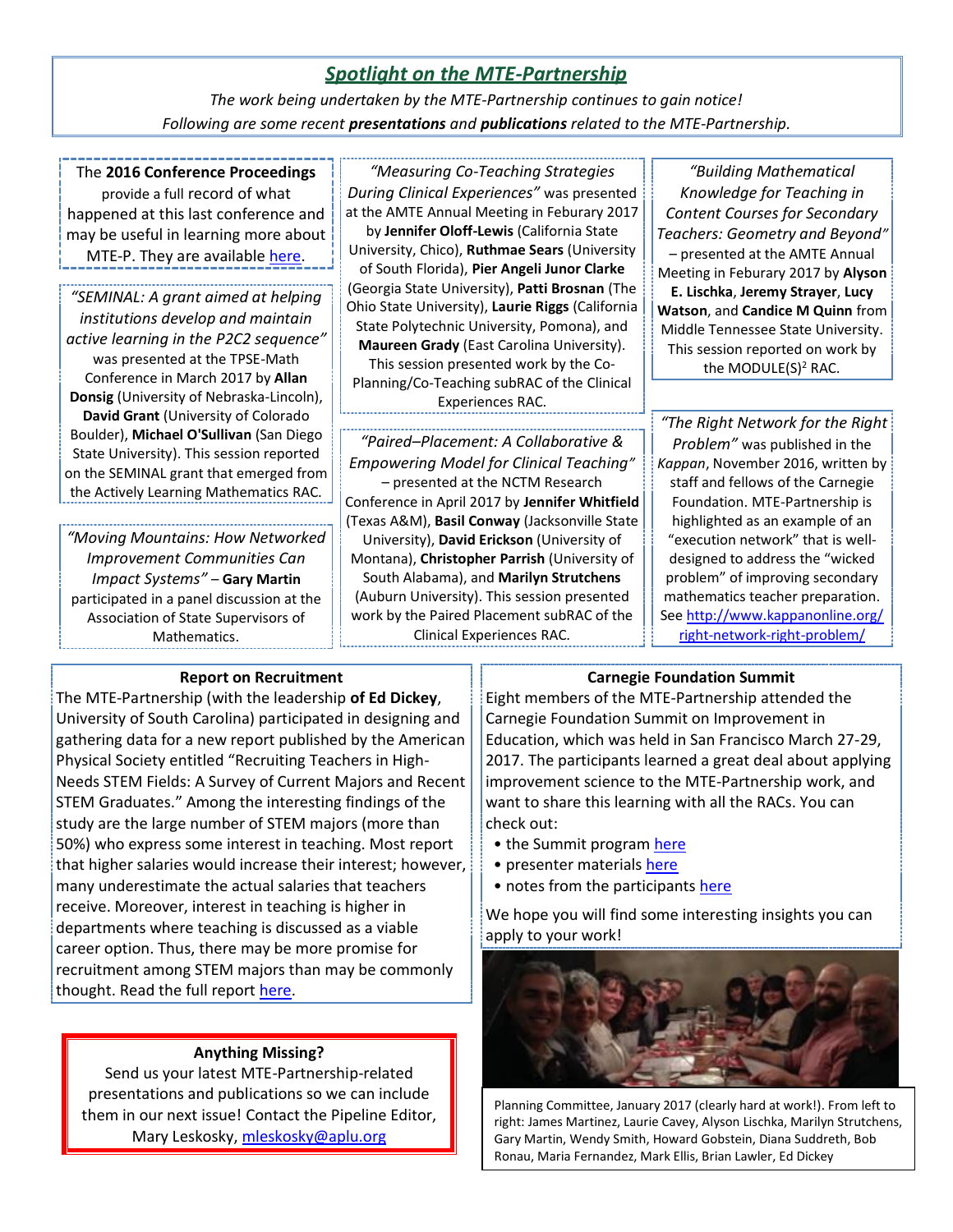### *Spotlight on the MTE-Partnership*

*The work being undertaken by the MTE-Partnership continues to gain notice! Following are some recent presentations and publications related to the MTE-Partnership.*

<span id="page-2-0"></span>The **2016 Conference Proceedings**

provide a full record of what happened at this last conference and may be useful in learning more about MTE-P. They are available [here.](http://www.aplu.org/projects-and-initiatives/stem-education/mathematics-teacher-education-partnership/mtep-conferences-meetings/mtep5.html)

*"SEMINAL: A grant aimed at helping institutions develop and maintain active learning in the P2C2 sequence"* was presented at the TPSE-Math Conference in March 2017 by **Allan Donsig** (University of Nebraska-Lincoln), **David Grant** (University of Colorado Boulder), **Michael O'Sullivan** (San Diego State University). This session reported on the SEMINAL grant that emerged from the Actively Learning Mathematics RAC.

*"Moving Mountains: How Networked Improvement Communities Can Impact Systems"* – **Gary Martin** participated in a panel discussion at the Association of State Supervisors of Mathematics.

#### *"Measuring Co-Teaching Strategies*

*During Clinical Experiences"* was presented at the AMTE Annual Meeting in Feburary 2017 by **Jennifer Oloff-Lewis** (California State University, Chico), **Ruthmae Sears** (University of South Florida), **Pier Angeli Junor Clarke** (Georgia State University), **Patti Brosnan** (The Ohio State University), **Laurie Riggs** (California State Polytechnic University, Pomona), and **Maureen Grady** (East Carolina University). This session presented work by the Co-Planning/Co-Teaching subRAC of the Clinical Experiences RAC.

*"Paired–Placement: A Collaborative & Empowering Model for Clinical Teaching"* – presented at the NCTM Research Conference in April 2017 by **Jennifer Whitfield** (Texas A&M), **Basil Conway** (Jacksonville State University), **David Erickson** (University of Montana), **Christopher Parrish** (University of South Alabama), and **Marilyn Strutchens**  (Auburn University). This session presented work by the Paired Placement subRAC of the Clinical Experiences RAC.

*"Building Mathematical Knowledge for Teaching in Content Courses for Secondary Teachers: Geometry and Beyond"* – presented at the AMTE Annual Meeting in Feburary 2017 by **Alyson E. Lischka**, **Jeremy Strayer**, **Lucy Watson**, and **Candice M Quinn** from Middle Tennessee State University. This session reported on work by the MODULE(S)<sup>2</sup> RAC.

*"The Right Network for the Right Problem"* was published in the *Kappan*, November 2016, written by staff and fellows of the Carnegie Foundation. MTE-Partnership is highlighted as an example of an "execution network" that is welldesigned to address the "wicked problem" of improving secondary mathematics teacher preparation. See [http://www.kappanonline.org/](http://www.kappanonline.org/right-network-right-problem/) [right-network-right-problem/](http://www.kappanonline.org/right-network-right-problem/)

### **Report on Recruitment**

The MTE-Partnership (with the leadership **of Ed Dickey**, University of South Carolina) participated in designing and gathering data for a new report published by the American Physical Society entitled "Recruiting Teachers in High-Needs STEM Fields: A Survey of Current Majors and Recent STEM Graduates." Among the interesting findings of the study are the large number of STEM majors (more than 50%) who express some interest in teaching. Most report that higher salaries would increase their interest; however, many underestimate the actual salaries that teachers receive. Moreover, interest in teaching is higher in departments where teaching is discussed as a viable career option. Thus, there may be more promise for recruitment among STEM majors than may be commonly thought. Read the full report [here.](http://www.aps.org/policy/reports/popa-reports/stemteachers.cfm)

### **Anything Missing?**

Send us your latest MTE-Partnership-related presentations and publications so we can include them in our next issue! Contact the Pipeline Editor, Mary Leskosky, [mleskosky@aplu.org](mailto:mleskosky@aplu.org)

### **Carnegie Foundation Summit**

Eight members of the MTE-Partnership attended the Carnegie Foundation Summit on Improvement in Education, which was held in San Francisco March 27-29, 2017. The participants learned a great deal about applying improvement science to the MTE-Partnership work, and want to share this learning with all the RACs. You can check out:

- the Summit program [here](https://www.carnegiefoundation.org/wp-content/uploads/2017/03/Carnegie_2017_Summit.pdf)
- presenter materials [here](https://guidebook.com/guide/92658/)
- notes from the participant[s here](https://docs.google.com/document/d/17buljTAxzepuLXAKhsEZTv-AF9A6P349rm6Q4za84Cw/edit?usp=sharing)

We hope you will find some interesting insights you can apply to your work!



Planning Committee, January 2017 (clearly hard at work!). From left to right: James Martinez, Laurie Cavey, Alyson Lischka, Marilyn Strutchens, Gary Martin, Wendy Smith, Howard Gobstein, Diana Suddreth, Bob Ronau, Maria Fernandez, Mark Ellis, Brian Lawler, Ed Dickey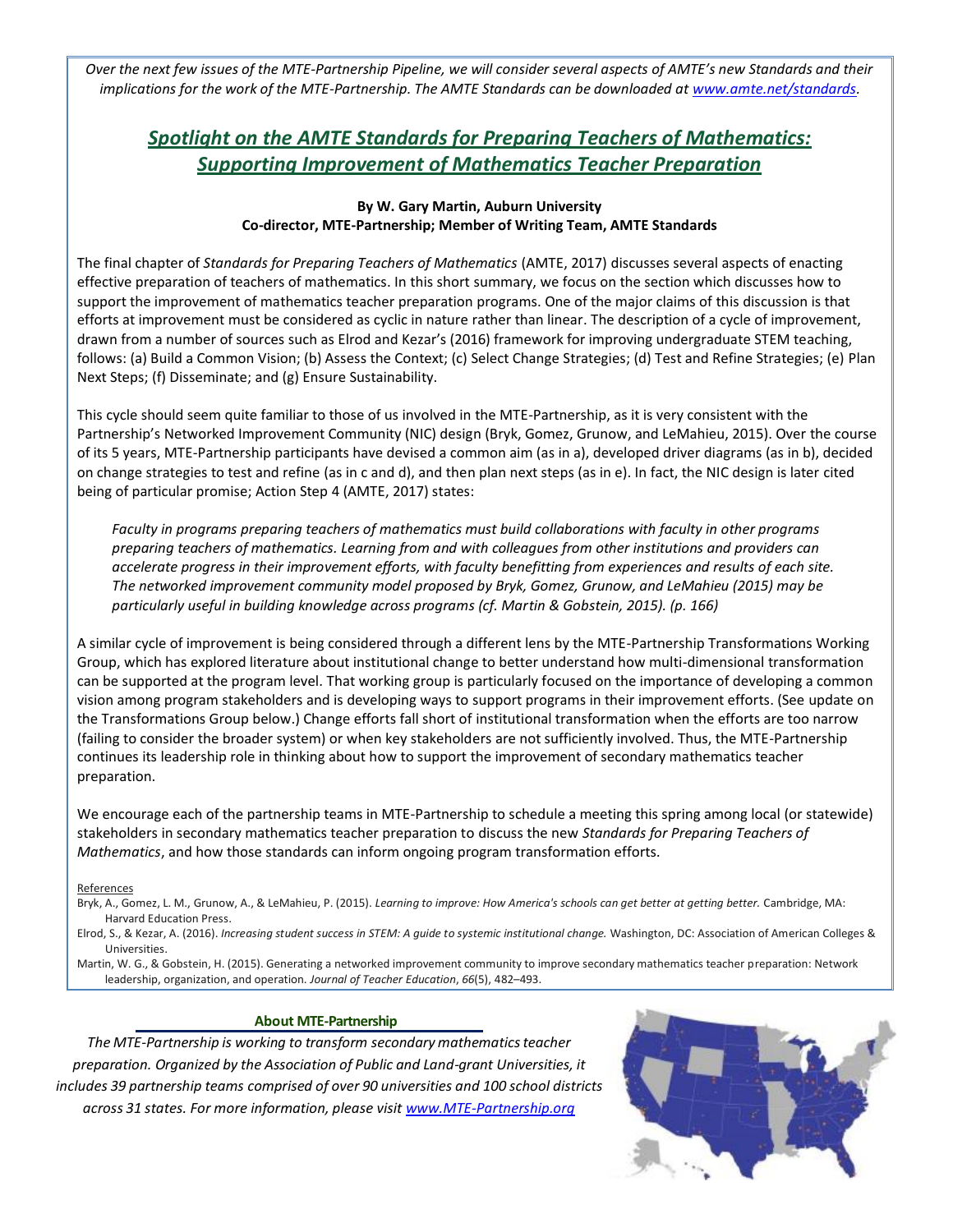<span id="page-3-0"></span>*Over the next few issues of the MTE-Partnership Pipeline, we will consider several aspects of AMTE's new Standards and their implications for the work of the MTE-Partnership. The AMTE Standards can be downloaded at [www.amte.net/standards.](http://www.amte.net/standards)*

### *Spotlight on the AMTE Standards for Preparing Teachers of Mathematics: Supporting Improvement of Mathematics Teacher Preparation*

#### **By W. Gary Martin, Auburn University Co-director, MTE-Partnership; Member of Writing Team, AMTE Standards**

The final chapter of *Standards for Preparing Teachers of Mathematics* (AMTE, 2017) discusses several aspects of enacting effective preparation of teachers of mathematics. In this short summary, we focus on the section which discusses how to support the improvement of mathematics teacher preparation programs. One of the major claims of this discussion is that efforts at improvement must be considered as cyclic in nature rather than linear. The description of a cycle of improvement, drawn from a number of sources such as Elrod and Kezar's (2016) framework for improving undergraduate STEM teaching, follows: (a) Build a Common Vision; (b) Assess the Context; (c) Select Change Strategies; (d) Test and Refine Strategies; (e) Plan Next Steps; (f) Disseminate; and (g) Ensure Sustainability.

This cycle should seem quite familiar to those of us involved in the MTE-Partnership, as it is very consistent with the Partnership's Networked Improvement Community (NIC) design (Bryk, Gomez, Grunow, and LeMahieu, 2015). Over the course of its 5 years, MTE-Partnership participants have devised a common aim (as in a), developed driver diagrams (as in b), decided on change strategies to test and refine (as in c and d), and then plan next steps (as in e). In fact, the NIC design is later cited being of particular promise; Action Step 4 (AMTE, 2017) states:

*Faculty in programs preparing teachers of mathematics must build collaborations with faculty in other programs preparing teachers of mathematics. Learning from and with colleagues from other institutions and providers can accelerate progress in their improvement efforts, with faculty benefitting from experiences and results of each site. The networked improvement community model proposed by Bryk, Gomez, Grunow, and LeMahieu (2015) may be particularly useful in building knowledge across programs (cf. Martin & Gobstein, 2015). (p. 166)*

A similar cycle of improvement is being considered through a different lens by the MTE-Partnership Transformations Working Group, which has explored literature about institutional change to better understand how multi-dimensional transformation can be supported at the program level. That working group is particularly focused on the importance of developing a common vision among program stakeholders and is developing ways to support programs in their improvement efforts. (See update on the Transformations Group below.) Change efforts fall short of institutional transformation when the efforts are too narrow (failing to consider the broader system) or when key stakeholders are not sufficiently involved. Thus, the MTE-Partnership continues its leadership role in thinking about how to support the improvement of secondary mathematics teacher preparation.

We encourage each of the partnership teams in MTE-Partnership to schedule a meeting this spring among local (or statewide) stakeholders in secondary mathematics teacher preparation to discuss the new *Standards for Preparing Teachers of Mathematics*, and how those standards can inform ongoing program transformation efforts*.*

#### **References**

Bryk, A., Gomez, L. M., Grunow, A., & LeMahieu, P. (2015). *Learning to improve: How America's schools can get better at getting better.* Cambridge, MA: Harvard Education Press.

Elrod, S., & Kezar, A. (2016). *Increasing student success in STEM: A guide to systemic institutional change.* Washington, DC: Association of American Colleges & Universities.

Martin, W. G., & Gobstein, H. (2015). Generating a networked improvement community to improve secondary mathematics teacher preparation: Network leadership, organization, and operation*. Journal of Teacher Education*, *66*(5), 482–493.

#### **About MTE-Partnership**

*The MTE-Partnership is working to transform secondarymathematicsteacher preparation. Organized by the Association of Public and Land-grant Universities, it includes 39 partnership teams comprised of over 90 universities and 100 school districts across 31 states. For more information, please visit [www.MTE-Partnership.org](http://www.mte-partnership.org/)*

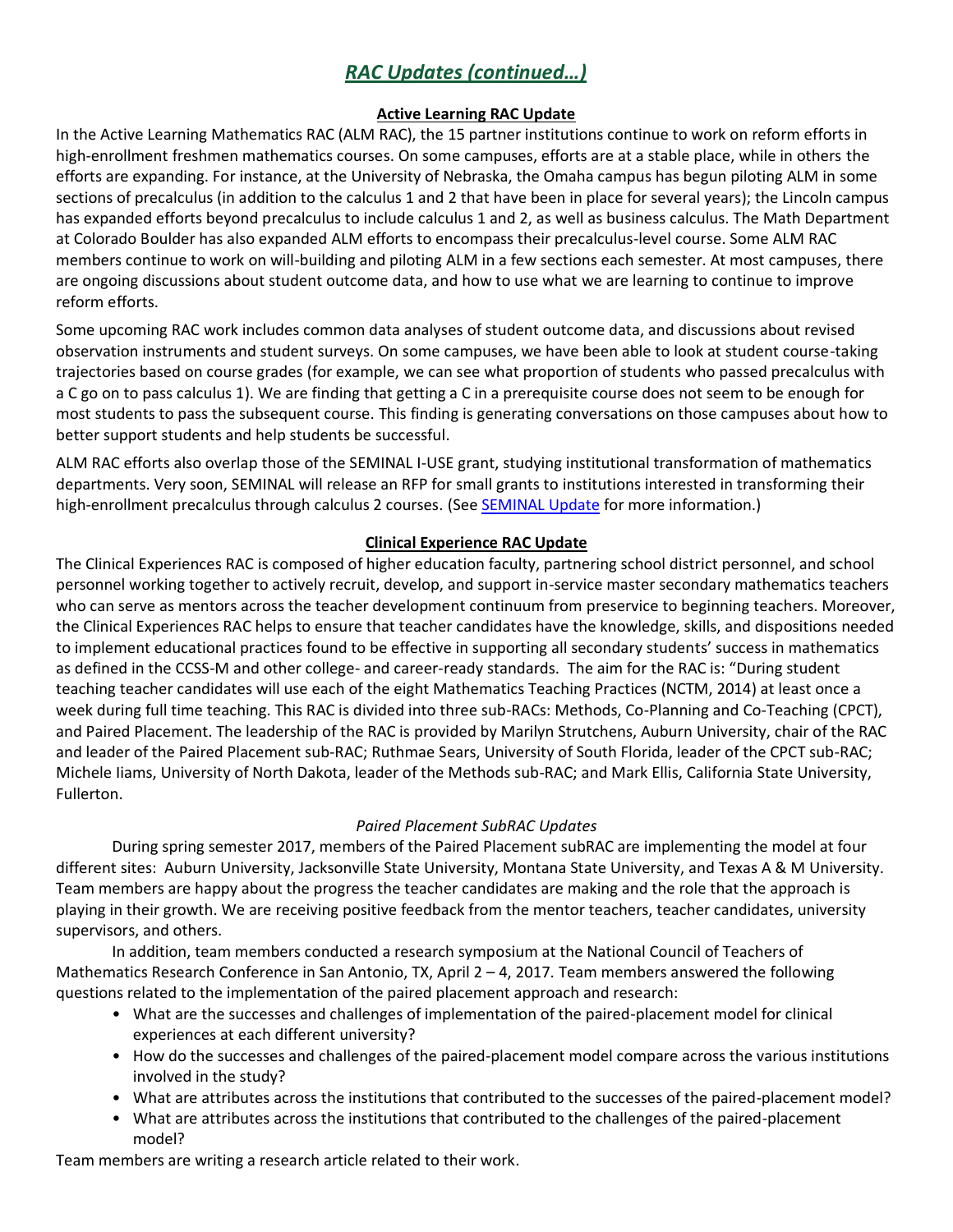### *RAC Updates (continued…)*

### <span id="page-4-0"></span>**Active Learning RAC Update**

In the Active Learning Mathematics RAC (ALM RAC), the 15 partner institutions continue to work on reform efforts in high-enrollment freshmen mathematics courses. On some campuses, efforts are at a stable place, while in others the efforts are expanding. For instance, at the University of Nebraska, the Omaha campus has begun piloting ALM in some sections of precalculus (in addition to the calculus 1 and 2 that have been in place for several years); the Lincoln campus has expanded efforts beyond precalculus to include calculus 1 and 2, as well as business calculus. The Math Department at Colorado Boulder has also expanded ALM efforts to encompass their precalculus-level course. Some ALM RAC members continue to work on will-building and piloting ALM in a few sections each semester. At most campuses, there are ongoing discussions about student outcome data, and how to use what we are learning to continue to improve reform efforts.

Some upcoming RAC work includes common data analyses of student outcome data, and discussions about revised observation instruments and student surveys. On some campuses, we have been able to look at student course-taking trajectories based on course grades (for example, we can see what proportion of students who passed precalculus with a C go on to pass calculus 1). We are finding that getting a C in a prerequisite course does not seem to be enough for most students to pass the subsequent course. This finding is generating conversations on those campuses about how to better support students and help students be successful.

ALM RAC efforts also overlap those of the SEMINAL I-USE grant, studying institutional transformation of mathematics departments. Very soon, SEMINAL will release an RFP for small grants to institutions interested in transforming their high-enrollment precalculus through calculus 2 courses. (Se[e SEMINAL Update](#page-7-0) for more information.)

### **Clinical Experience RAC Update**

<span id="page-4-1"></span>The Clinical Experiences RAC is composed of higher education faculty, partnering school district personnel, and school personnel working together to actively recruit, develop, and support in-service master secondary mathematics teachers who can serve as mentors across the teacher development continuum from preservice to beginning teachers. Moreover, the Clinical Experiences RAC helps to ensure that teacher candidates have the knowledge, skills, and dispositions needed to implement educational practices found to be effective in supporting all secondary students' success in mathematics as defined in the CCSS-M and other college- and career-ready standards. The aim for the RAC is: "During student teaching teacher candidates will use each of the eight Mathematics Teaching Practices (NCTM, 2014) at least once a week during full time teaching. This RAC is divided into three sub-RACs: Methods, Co-Planning and Co-Teaching (CPCT), and Paired Placement. The leadership of the RAC is provided by Marilyn Strutchens, Auburn University, chair of the RAC and leader of the Paired Placement sub-RAC; Ruthmae Sears, University of South Florida, leader of the CPCT sub-RAC; Michele Iiams, University of North Dakota, leader of the Methods sub-RAC; and Mark Ellis, California State University, Fullerton.

### *Paired Placement SubRAC Updates*

During spring semester 2017, members of the Paired Placement subRAC are implementing the model at four different sites: Auburn University, Jacksonville State University, Montana State University, and Texas A & M University. Team members are happy about the progress the teacher candidates are making and the role that the approach is playing in their growth. We are receiving positive feedback from the mentor teachers, teacher candidates, university supervisors, and others.

In addition, team members conducted a research symposium at the National Council of Teachers of Mathematics Research Conference in San Antonio, TX, April 2 – 4, 2017. Team members answered the following questions related to the implementation of the paired placement approach and research:

- What are the successes and challenges of implementation of the paired-placement model for clinical experiences at each different university?
- How do the successes and challenges of the paired-placement model compare across the various institutions involved in the study?
- What are attributes across the institutions that contributed to the successes of the paired-placement model?
- What are attributes across the institutions that contributed to the challenges of the paired-placement model?

Team members are writing a research article related to their work.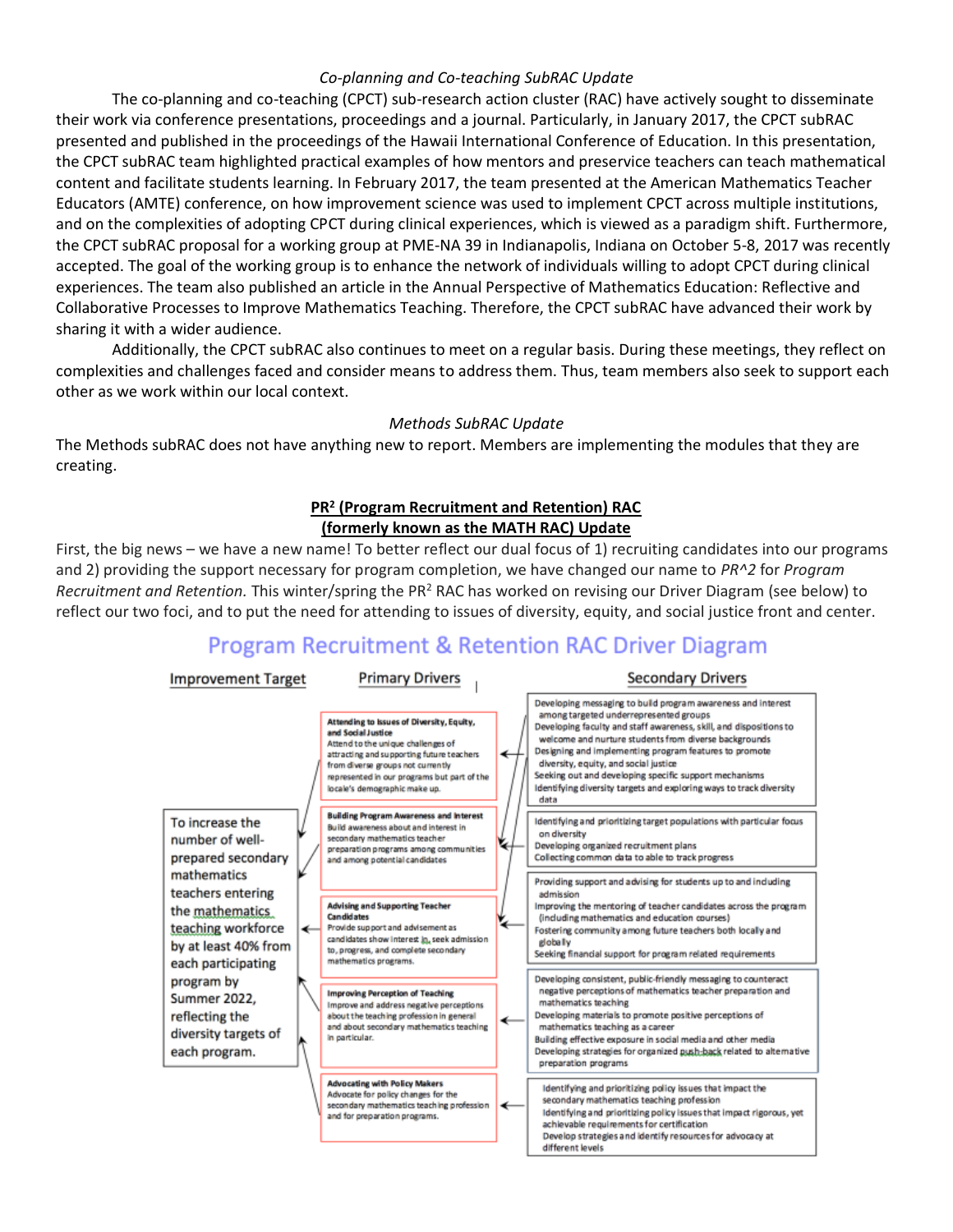### *Co-planning and Co-teaching SubRAC Update*

The co-planning and co-teaching (CPCT) sub-research action cluster (RAC) have actively sought to disseminate their work via conference presentations, proceedings and a journal. Particularly, in January 2017, the CPCT subRAC presented and published in the proceedings of the Hawaii International Conference of Education. In this presentation, the CPCT subRAC team highlighted practical examples of how mentors and preservice teachers can teach mathematical content and facilitate students learning. In February 2017, the team presented at the American Mathematics Teacher Educators (AMTE) conference, on how improvement science was used to implement CPCT across multiple institutions, and on the complexities of adopting CPCT during clinical experiences, which is viewed as a paradigm shift. Furthermore, the CPCT subRAC proposal for a working group at PME-NA 39 in Indianapolis, Indiana on October 5-8, 2017 was recently accepted. The goal of the working group is to enhance the network of individuals willing to adopt CPCT during clinical experiences. The team also published an article in the Annual Perspective of Mathematics Education: Reflective and Collaborative Processes to Improve Mathematics Teaching. Therefore, the CPCT subRAC have advanced their work by sharing it with a wider audience.

Additionally, the CPCT subRAC also continues to meet on a regular basis. During these meetings, they reflect on complexities and challenges faced and consider means to address them. Thus, team members also seek to support each other as we work within our local context.

### *Methods SubRAC Update*

The Methods subRAC does not have anything new to report. Members are implementing the modules that they are creating.

### **PR<sup>2</sup> (Program Recruitment and Retention) RAC (formerly known as the MATH RAC) Update**

First, the big news – we have a new name! To better reflect our dual focus of 1) recruiting candidates into our programs and 2) providing the support necessary for program completion, we have changed our name to *PR^2* for *Program Recruitment and Retention.* This winter/spring the PR<sup>2</sup> RAC has worked on revising our Driver Diagram (see below) to reflect our two foci, and to put the need for attending to issues of diversity, equity, and social justice front and center.

## **Program Recruitment & Retention RAC Driver Diagram**

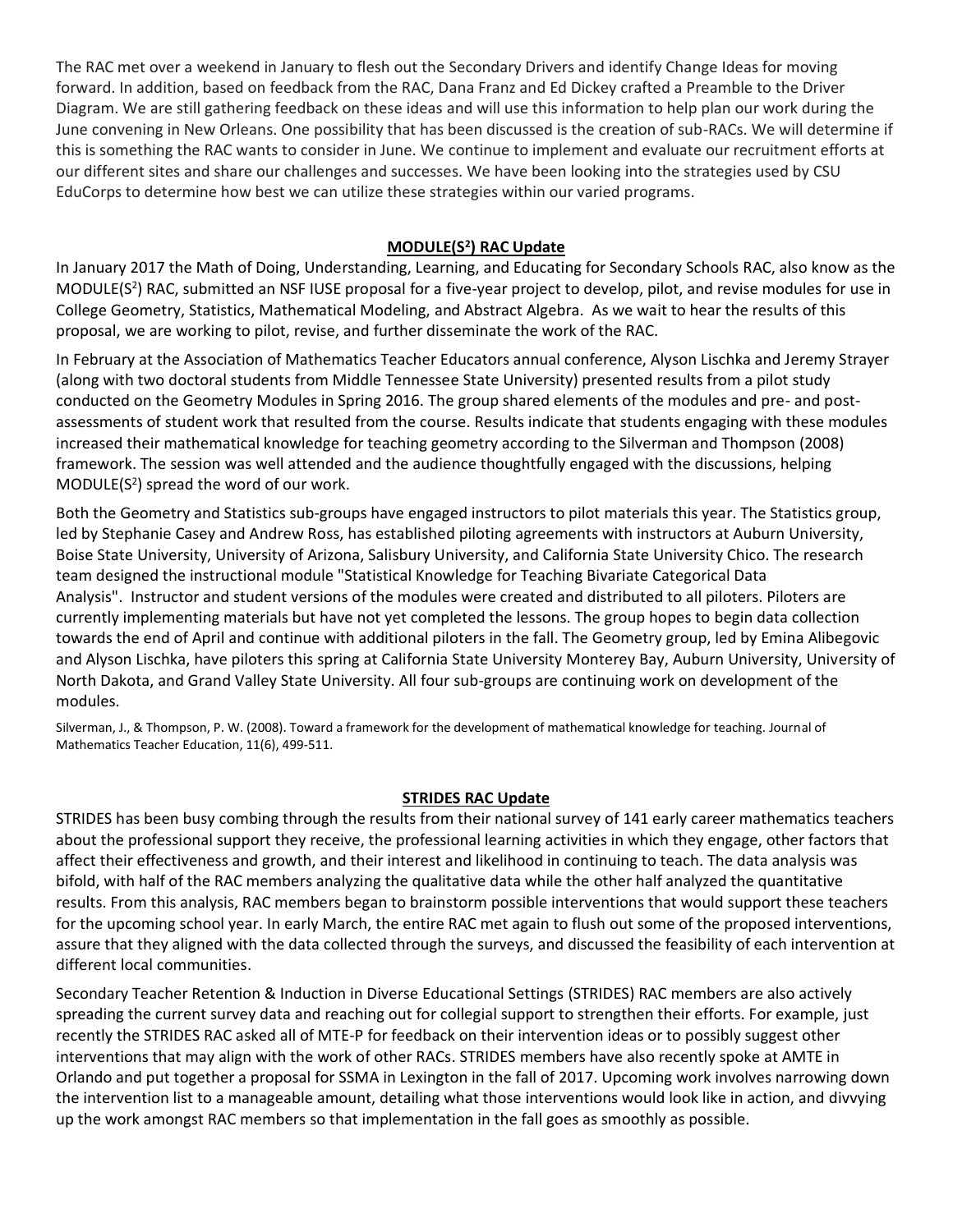The RAC met over a weekend in January to flesh out the Secondary Drivers and identify Change Ideas for moving forward. In addition, based on feedback from the RAC, Dana Franz and Ed Dickey crafted a Preamble to the Driver Diagram. We are still gathering feedback on these ideas and will use this information to help plan our work during the June convening in New Orleans. One possibility that has been discussed is the creation of sub-RACs. We will determine if this is something the RAC wants to consider in June. We continue to implement and evaluate our recruitment efforts at our different sites and share our challenges and successes. We have been looking into the strategies used by CSU EduCorps to determine how best we can utilize these strategies within our varied programs.

### <span id="page-6-0"></span>**MODULE(S<sup>2</sup> ) RAC Update**

In January 2017 the Math of Doing, Understanding, Learning, and Educating for Secondary Schools RAC, also know as the MODULE(S<sup>2</sup>) RAC, submitted an NSF IUSE proposal for a five-year project to develop, pilot, and revise modules for use in College Geometry, Statistics, Mathematical Modeling, and Abstract Algebra. As we wait to hear the results of this proposal, we are working to pilot, revise, and further disseminate the work of the RAC.

In February at the Association of Mathematics Teacher Educators annual conference, Alyson Lischka and Jeremy Strayer (along with two doctoral students from Middle Tennessee State University) presented results from a pilot study conducted on the Geometry Modules in Spring 2016. The group shared elements of the modules and pre- and postassessments of student work that resulted from the course. Results indicate that students engaging with these modules increased their mathematical knowledge for teaching geometry according to the Silverman and Thompson (2008) framework. The session was well attended and the audience thoughtfully engaged with the discussions, helping  $MODULE(S<sup>2</sup>)$  spread the word of our work.

Both the Geometry and Statistics sub-groups have engaged instructors to pilot materials this year. The Statistics group, led by Stephanie Casey and Andrew Ross, has established piloting agreements with instructors at Auburn University, Boise State University, University of Arizona, Salisbury University, and California State University Chico. The research team designed the instructional module "Statistical Knowledge for Teaching Bivariate Categorical Data Analysis". Instructor and student versions of the modules were created and distributed to all piloters. Piloters are currently implementing materials but have not yet completed the lessons. The group hopes to begin data collection towards the end of April and continue with additional piloters in the fall. The Geometry group, led by Emina Alibegovic and Alyson Lischka, have piloters this spring at California State University Monterey Bay, Auburn University, University of North Dakota, and Grand Valley State University. All four sub-groups are continuing work on development of the modules.

Silverman, J., & Thompson, P. W. (2008). Toward a framework for the development of mathematical knowledge for teaching. Journal of Mathematics Teacher Education, 11(6), 499-511.

### <span id="page-6-1"></span>**STRIDES RAC Update**

STRIDES has been busy combing through the results from their national survey of 141 early career mathematics teachers about the professional support they receive, the professional learning activities in which they engage, other factors that affect their effectiveness and growth, and their interest and likelihood in continuing to teach. The data analysis was bifold, with half of the RAC members analyzing the qualitative data while the other half analyzed the quantitative results. From this analysis, RAC members began to brainstorm possible interventions that would support these teachers for the upcoming school year. In early March, the entire RAC met again to flush out some of the proposed interventions, assure that they aligned with the data collected through the surveys, and discussed the feasibility of each intervention at different local communities.

Secondary Teacher Retention & Induction in Diverse Educational Settings (STRIDES) RAC members are also actively spreading the current survey data and reaching out for collegial support to strengthen their efforts. For example, just recently the STRIDES RAC asked all of MTE-P for feedback on their intervention ideas or to possibly suggest other interventions that may align with the work of other RACs. STRIDES members have also recently spoke at AMTE in Orlando and put together a proposal for SSMA in Lexington in the fall of 2017. Upcoming work involves narrowing down the intervention list to a manageable amount, detailing what those interventions would look like in action, and divvying up the work amongst RAC members so that implementation in the fall goes as smoothly as possible.